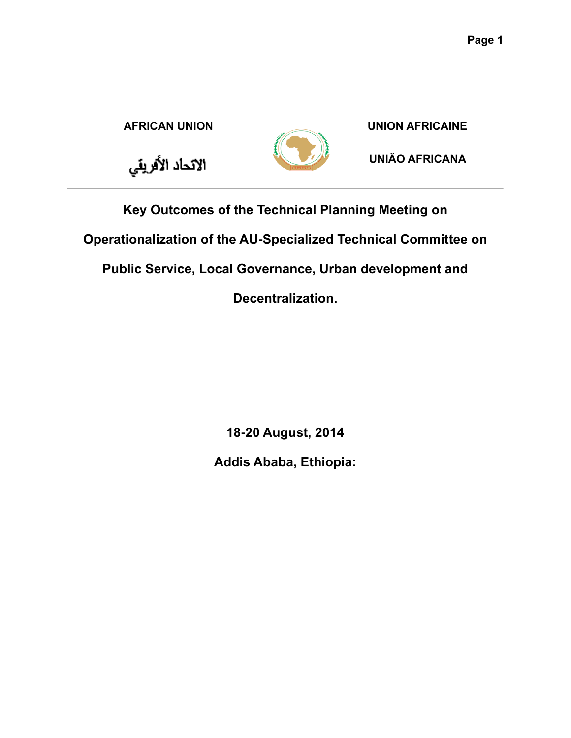

# **Key Outcomes of the Technical Planning Meeting on Operationalization of the AU-Specialized Technical Committee on Public Service, Local Governance, Urban development and Decentralization.**

**18-20 August, 2014**

**Addis Ababa, Ethiopia:**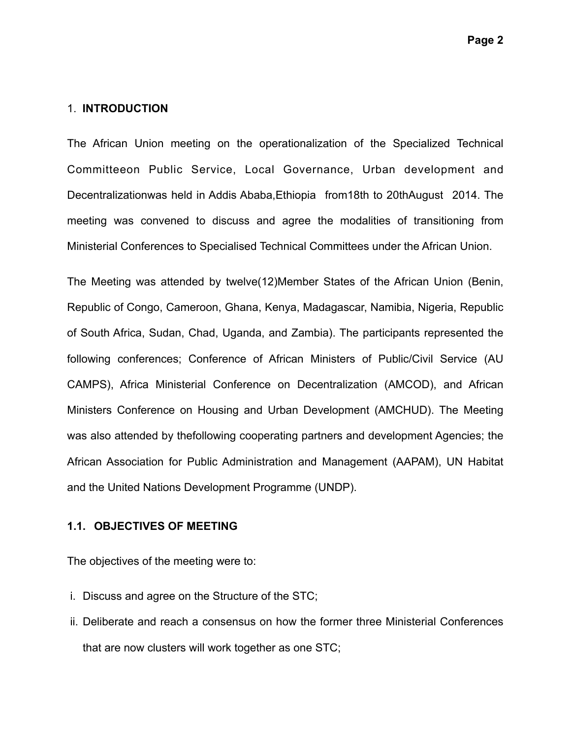#### 1. **INTRODUCTION**

The African Union meeting on the operationalization of the Specialized Technical Committeeon Public Service, Local Governance, Urban development and Decentralizationwas held in Addis Ababa,Ethiopia from18th to 20thAugust 2014. The meeting was convened to discuss and agree the modalities of transitioning from Ministerial Conferences to Specialised Technical Committees under the African Union.

The Meeting was attended by twelve(12)Member States of the African Union (Benin, Republic of Congo, Cameroon, Ghana, Kenya, Madagascar, Namibia, Nigeria, Republic of South Africa, Sudan, Chad, Uganda, and Zambia). The participants represented the following conferences; Conference of African Ministers of Public/Civil Service (AU CAMPS), Africa Ministerial Conference on Decentralization (AMCOD), and African Ministers Conference on Housing and Urban Development (AMCHUD). The Meeting was also attended by thefollowing cooperating partners and development Agencies; the African Association for Public Administration and Management (AAPAM), UN Habitat and the United Nations Development Programme (UNDP).

#### **1.1. OBJECTIVES OF MEETING**

The objectives of the meeting were to:

- i. Discuss and agree on the Structure of the STC;
- ii. Deliberate and reach a consensus on how the former three Ministerial Conferences that are now clusters will work together as one STC;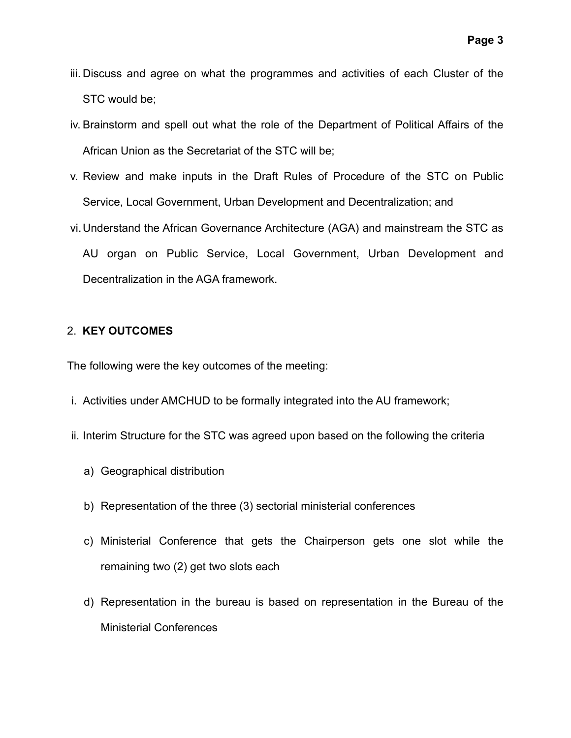- iii. Discuss and agree on what the programmes and activities of each Cluster of the STC would be;
- iv. Brainstorm and spell out what the role of the Department of Political Affairs of the African Union as the Secretariat of the STC will be;
- v. Review and make inputs in the Draft Rules of Procedure of the STC on Public Service, Local Government, Urban Development and Decentralization; and
- vi.Understand the African Governance Architecture (AGA) and mainstream the STC as AU organ on Public Service, Local Government, Urban Development and Decentralization in the AGA framework.

## 2. **KEY OUTCOMES**

The following were the key outcomes of the meeting:

- i. Activities under AMCHUD to be formally integrated into the AU framework;
- ii. Interim Structure for the STC was agreed upon based on the following the criteria
	- a) Geographical distribution
	- b) Representation of the three (3) sectorial ministerial conferences
	- c) Ministerial Conference that gets the Chairperson gets one slot while the remaining two (2) get two slots each
	- d) Representation in the bureau is based on representation in the Bureau of the Ministerial Conferences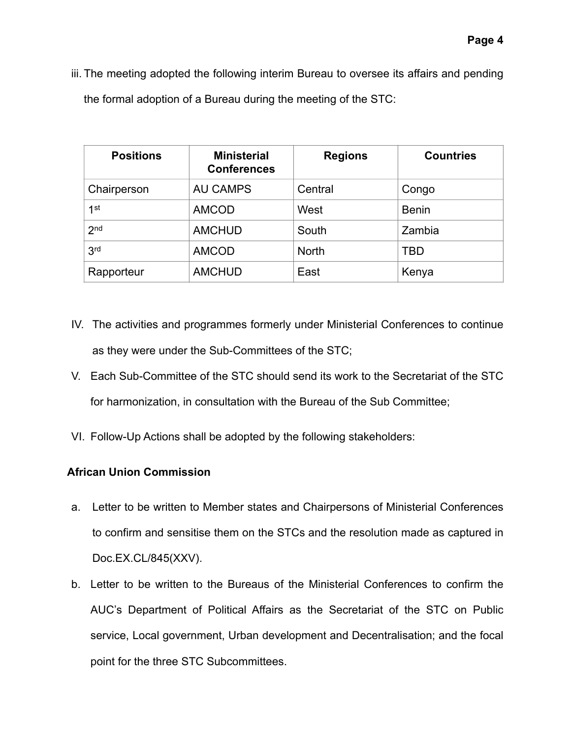iii. The meeting adopted the following interim Bureau to oversee its affairs and pending the formal adoption of a Bureau during the meeting of the STC:

| <b>Positions</b> | <b>Ministerial</b><br><b>Conferences</b> | <b>Regions</b> | <b>Countries</b> |
|------------------|------------------------------------------|----------------|------------------|
| Chairperson      | <b>AU CAMPS</b>                          | Central        | Congo            |
| 1st              | <b>AMCOD</b>                             | West           | <b>Benin</b>     |
| 2 <sub>nd</sub>  | <b>AMCHUD</b>                            | South          | Zambia           |
| 3rd              | <b>AMCOD</b>                             | <b>North</b>   | TBD              |
| Rapporteur       | <b>AMCHUD</b>                            | East           | Kenya            |

- IV. The activities and programmes formerly under Ministerial Conferences to continue as they were under the Sub-Committees of the STC;
- V. Each Sub-Committee of the STC should send its work to the Secretariat of the STC for harmonization, in consultation with the Bureau of the Sub Committee;
- VI. Follow-Up Actions shall be adopted by the following stakeholders:

# **African Union Commission**

- a. Letter to be written to Member states and Chairpersons of Ministerial Conferences to confirm and sensitise them on the STCs and the resolution made as captured in Doc.EX.CL/845(XXV).
- b. Letter to be written to the Bureaus of the Ministerial Conferences to confirm the AUC's Department of Political Affairs as the Secretariat of the STC on Public service, Local government, Urban development and Decentralisation; and the focal point for the three STC Subcommittees.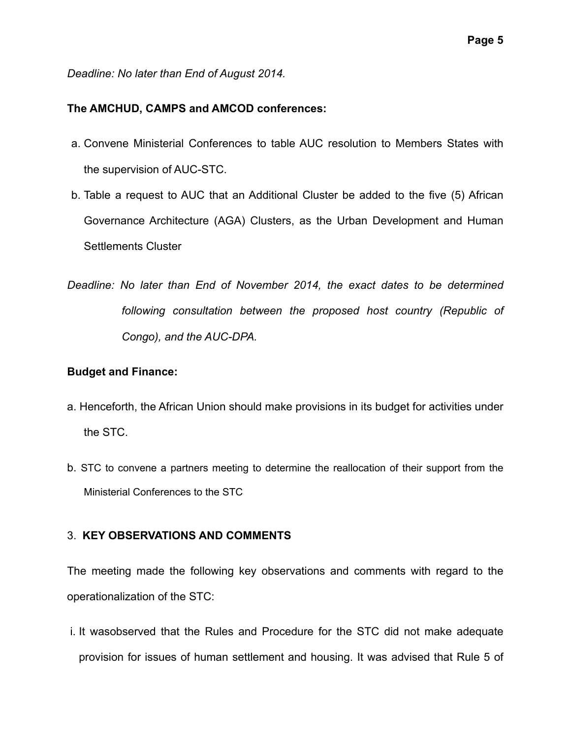#### *Deadline: No later than End of August 2014.*

#### **The AMCHUD, CAMPS and AMCOD conferences:**

- a. Convene Ministerial Conferences to table AUC resolution to Members States with the supervision of AUC-STC.
- b. Table a request to AUC that an Additional Cluster be added to the five (5) African Governance Architecture (AGA) Clusters, as the Urban Development and Human Settlements Cluster
- *Deadline: No later than End of November 2014, the exact dates to be determined following consultation between the proposed host country (Republic of Congo), and the AUC-DPA.*

#### **Budget and Finance:**

- a. Henceforth, the African Union should make provisions in its budget for activities under the STC.
- b. STC to convene a partners meeting to determine the reallocation of their support from the Ministerial Conferences to the STC

## 3. **KEY OBSERVATIONS AND COMMENTS**

The meeting made the following key observations and comments with regard to the operationalization of the STC:

i. It wasobserved that the Rules and Procedure for the STC did not make adequate provision for issues of human settlement and housing. It was advised that Rule 5 of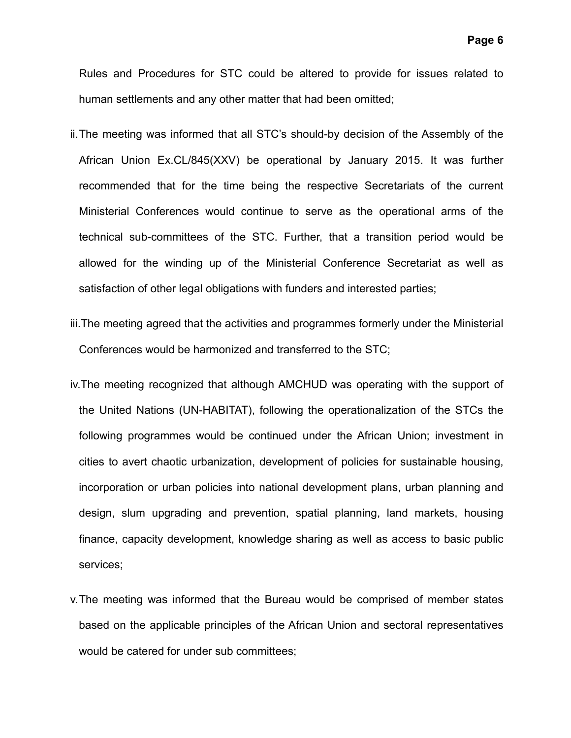Rules and Procedures for STC could be altered to provide for issues related to human settlements and any other matter that had been omitted;

- ii.The meeting was informed that all STC's should-by decision of the Assembly of the African Union Ex.CL/845(XXV) be operational by January 2015. It was further recommended that for the time being the respective Secretariats of the current Ministerial Conferences would continue to serve as the operational arms of the technical sub-committees of the STC. Further, that a transition period would be allowed for the winding up of the Ministerial Conference Secretariat as well as satisfaction of other legal obligations with funders and interested parties;
- iii.The meeting agreed that the activities and programmes formerly under the Ministerial Conferences would be harmonized and transferred to the STC;
- iv.The meeting recognized that although AMCHUD was operating with the support of the United Nations (UN-HABITAT), following the operationalization of the STCs the following programmes would be continued under the African Union; investment in cities to avert chaotic urbanization, development of policies for sustainable housing, incorporation or urban policies into national development plans, urban planning and design, slum upgrading and prevention, spatial planning, land markets, housing finance, capacity development, knowledge sharing as well as access to basic public services;
- v.The meeting was informed that the Bureau would be comprised of member states based on the applicable principles of the African Union and sectoral representatives would be catered for under sub committees;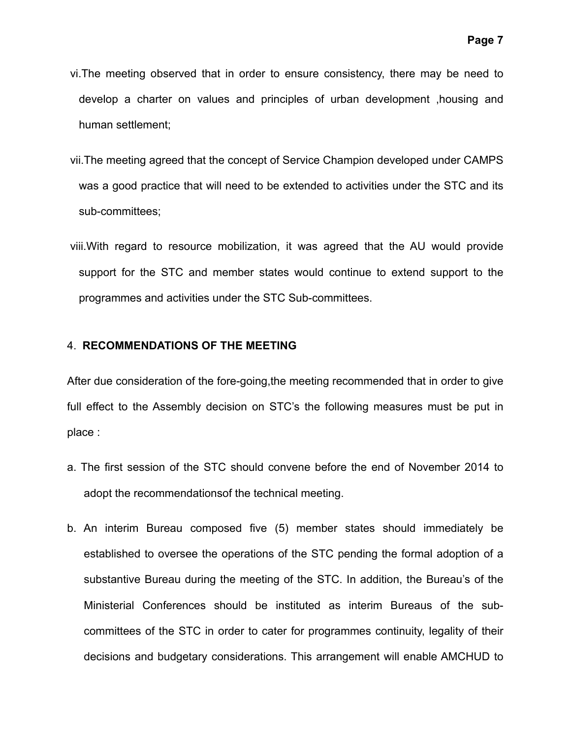- vi.The meeting observed that in order to ensure consistency, there may be need to develop a charter on values and principles of urban development ,housing and human settlement;
- vii.The meeting agreed that the concept of Service Champion developed under CAMPS was a good practice that will need to be extended to activities under the STC and its sub-committees;
- viii.With regard to resource mobilization, it was agreed that the AU would provide support for the STC and member states would continue to extend support to the programmes and activities under the STC Sub-committees.

#### 4. **RECOMMENDATIONS OF THE MEETING**

After due consideration of the fore-going,the meeting recommended that in order to give full effect to the Assembly decision on STC's the following measures must be put in place :

- a. The first session of the STC should convene before the end of November 2014 to adopt the recommendationsof the technical meeting.
- b. An interim Bureau composed five (5) member states should immediately be established to oversee the operations of the STC pending the formal adoption of a substantive Bureau during the meeting of the STC. In addition, the Bureau's of the Ministerial Conferences should be instituted as interim Bureaus of the subcommittees of the STC in order to cater for programmes continuity, legality of their decisions and budgetary considerations. This arrangement will enable AMCHUD to